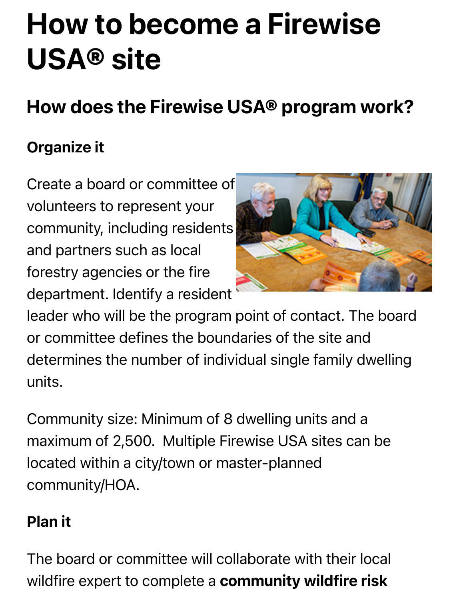# How to become a Firewise USA® site

## How does the Firewise USA® program work?

#### Organize it

Create a board or committee of volunteers to represent your community, including residents and partners such as local forestry agencies or the fire department. Identify a resident



leader who will be the program point of contact. The board or committee defines the boundaries of the site and determines the number of individual single family dwelling units.

Community size: Minimum of 8 dwelling units and a maximum of 2,500. Multiple Firewise USA sites can be located within a city/town or master-planned community/HOA.

#### Plan it

The board or committee will collaborate with their local wildfire expert to complete a **community wildfire risk**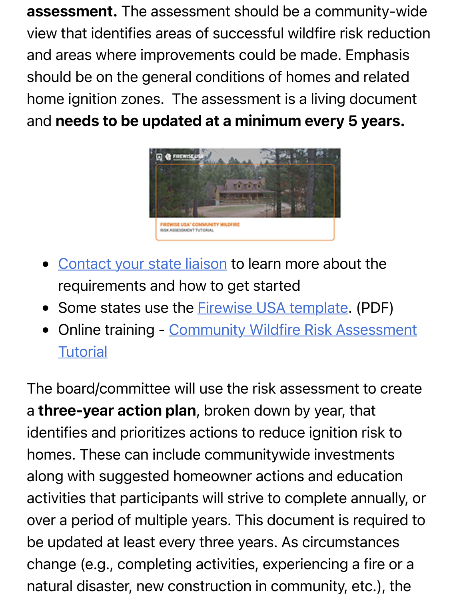**assessment.** The assessment should be a community-wide view that identifies areas of successful wildfire risk reduction and areas where improvements could be made. Emphasis should be on the general conditions of homes and related home ignition zones. The assessment is a living document and [needs to be updated at a minimum every 5 years.](https://www.nfpa.org/Public-Education/Fire-causes-and-risks/Wildfire/Firewise-USA/Become-a-Firewise-USA-site/Contact-your-state-liaison) 



- Contact your state liaison to learn more about the requirements and ho[w to get started](https://www.nfpa.org/-/media/Files/Firewise/Get-started/FirewiseCommAssess.ashx)
- Some states use the **Firewise USA template.** (PDF)
- [Online training Community Wildfire Risk Assessment](https://www.nfpa.org/Public-Education/Fire-causes-and-risks/Wildfire/Firewise-USA/Online-learning-opportunities/Community-Wildfire-Risk-Assessment-Tutorial)  $\bullet$ **Tutorial**

The board/committee will use the risk assessment to create a three-year action plan, broken down by year, that identifies and prioritizes actions to reduce ignition risk to homes. These can include communitywide investments along with suggested homeowner actions and education activities that participants will strive to complete annually, or over a period of multiple years. This document is required to be updated at least every three years. As circumstances change (e.g., completing activities, experiencing a fire or a natural disaster, new construction in community, etc.), the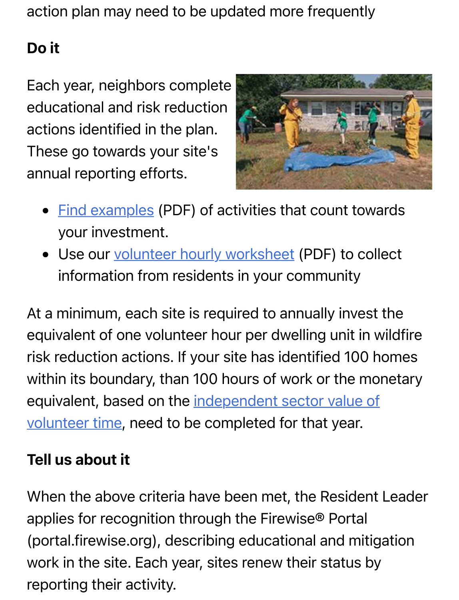action plan may need to be updated more frequently

#### Do it

Each year, neighbors complete educational and risk reduction actions identified in the plan. These go towards your site's ann[ual reporting eff](https://www.nfpa.org/-/media/Files/Firewise/Get-started/FirewiseTimeExpenseInvestmentExamples.ashx)orts.



- Find examples (PDF) of activities that count towards your inv[estment.](https://www.nfpa.org/-/media/Files/Firewise/Get-started/FirewiseVolunteerHourlyWorksheet.ashx)
- Use our volunteer hourly worksheet (PDF) to collect information from residents in your community

At a minimum, each site is required to annually invest the equivalent of one volunteer hour per dwelling unit in wildfire risk reduction actions. If your site has identified 100 homes [within its boundary, than 100 hours of work or the mo](https://independentsector.org/value-of-volunteer-time-2018/)netary equivalent, based on the independent sector value of volunteer time, need to be completed for that year.

#### Tell us about it

When the above criteria have been met, the Resident Leader applies for recognition through the Firewise® Portal (portal.firewise.org), describing educational and mitigation work in the site. Each year, sites renew their status by reporting their activity.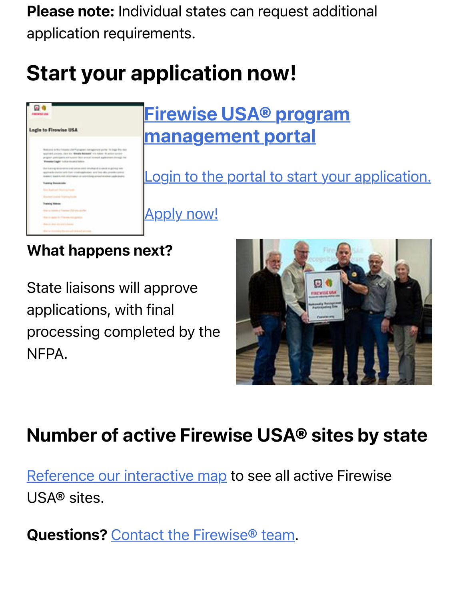Please note: Individual states can request additional application requirements.

# Start your application now!



### Firewise USA® program management portal

[Login to the portal to start your application.](https://portal.firewise.org/user/login)

Apply now!

#### What happens next?

State liaisons will approve applications, with final processing completed by the NFPA.



### [Number of active Firew](https://www.nfpa.org/Public-Education/Fire-causes-and-risks/Wildfire/Firewise-USA/Firewise-USA-Resources/Firewise-USA-sites)ise USA® sites by state

Reference our interactive map to see all active Firewise USA® sites.

Questions? Contact the Firewise<sup>®</sup> team.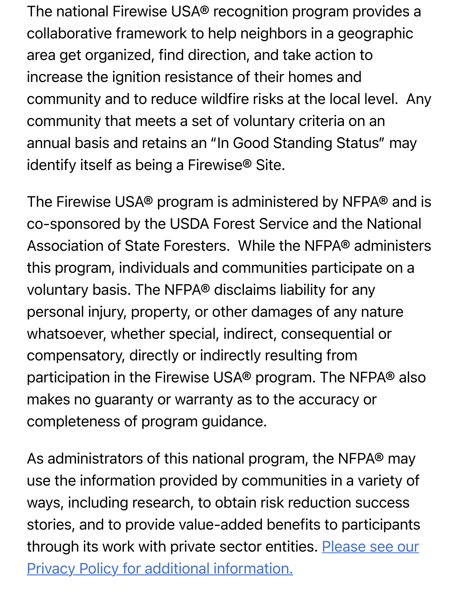The national Firewise USA® recognition program provides a collaborative framework to help neighbors in a geographic area get organized, find direction, and take action to increase the ignition resistance of their homes and community and to reduce wildfire risks at the local level. Any community that meets a set of voluntary criteria on an annual basis and retains an "In Good Standing Status" may identify itself as being a Firewise® Site.

The Firewise USA® program is administered by NFPA® and is co-sponsored by the USDA Forest Service and the National Association of State Foresters. While the NFPA® administers this program, individuals and communities participate on a voluntary basis. The NFPA® disclaims liability for any personal injury, property, or other damages of any nature whatsoever, whether special, indirect, consequential or compensatory, directly or indirectly resulting from participation in the Firewise USA® program. The NFPA® also makes no guaranty or warranty as to the accuracy or completeness of program guidance.

As administrators of this national program, the NFPA® may use the information provided by communities in a variety of ways, including research, to obtain risk reduction success [stories, and to provide value-added benefits to participants](https://www.nfpa.org/privacypolicy) through its work with private sector entities. Please see our Privacy Policy for additional information.